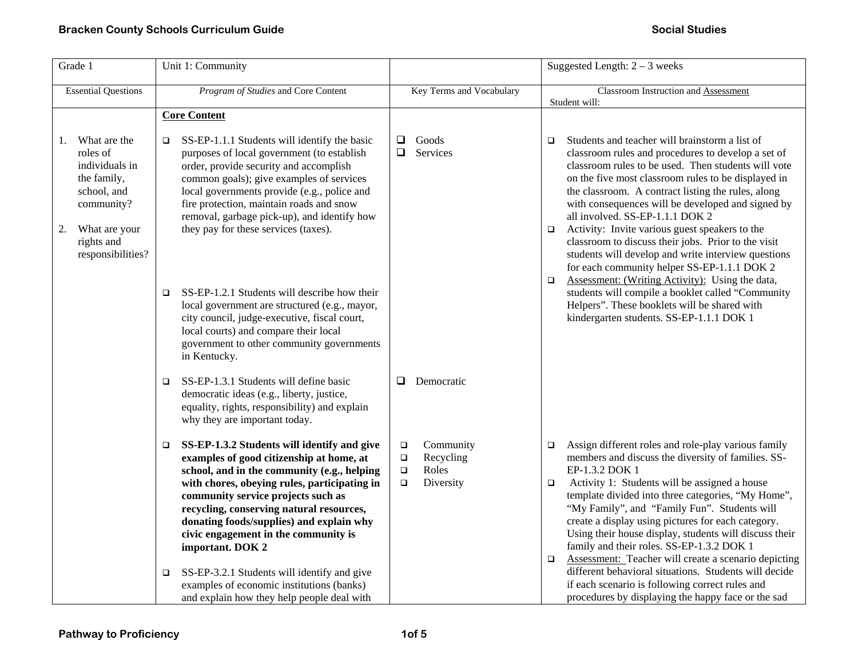| Grade 1                                                                                                                                                | Unit 1: Community                                                                                                                                                                                                                                                                                                                                                                                                                                                                                                                                                                                              |                                                                                      | Suggested Length: $2 - 3$ weeks                                                                                                                                                                                                                                                                                                                                                                                                                                                                                                                                                                                                                                                                                                                                                                               |
|--------------------------------------------------------------------------------------------------------------------------------------------------------|----------------------------------------------------------------------------------------------------------------------------------------------------------------------------------------------------------------------------------------------------------------------------------------------------------------------------------------------------------------------------------------------------------------------------------------------------------------------------------------------------------------------------------------------------------------------------------------------------------------|--------------------------------------------------------------------------------------|---------------------------------------------------------------------------------------------------------------------------------------------------------------------------------------------------------------------------------------------------------------------------------------------------------------------------------------------------------------------------------------------------------------------------------------------------------------------------------------------------------------------------------------------------------------------------------------------------------------------------------------------------------------------------------------------------------------------------------------------------------------------------------------------------------------|
| <b>Essential Questions</b>                                                                                                                             | Program of Studies and Core Content                                                                                                                                                                                                                                                                                                                                                                                                                                                                                                                                                                            | Key Terms and Vocabulary                                                             | Classroom Instruction and Assessment<br>Student will:                                                                                                                                                                                                                                                                                                                                                                                                                                                                                                                                                                                                                                                                                                                                                         |
|                                                                                                                                                        | <b>Core Content</b>                                                                                                                                                                                                                                                                                                                                                                                                                                                                                                                                                                                            |                                                                                      |                                                                                                                                                                                                                                                                                                                                                                                                                                                                                                                                                                                                                                                                                                                                                                                                               |
| What are the<br>1.<br>roles of<br>individuals in<br>the family,<br>school, and<br>community?<br>What are your<br>2.<br>rights and<br>responsibilities? | SS-EP-1.1.1 Students will identify the basic<br>purposes of local government (to establish<br>order, provide security and accomplish<br>common goals); give examples of services<br>local governments provide (e.g., police and<br>fire protection, maintain roads and snow<br>removal, garbage pick-up), and identify how<br>they pay for these services (taxes).<br>SS-EP-1.2.1 Students will describe how their<br>□<br>local government are structured (e.g., mayor,<br>city council, judge-executive, fiscal court,<br>local courts) and compare their local<br>government to other community governments | Goods<br>$\Box$<br>Services<br>□                                                     | Students and teacher will brainstorm a list of<br>$\Box$<br>classroom rules and procedures to develop a set of<br>classroom rules to be used. Then students will vote<br>on the five most classroom rules to be displayed in<br>the classroom. A contract listing the rules, along<br>with consequences will be developed and signed by<br>all involved. SS-EP-1.1.1 DOK 2<br>Activity: Invite various guest speakers to the<br>O.<br>classroom to discuss their jobs. Prior to the visit<br>students will develop and write interview questions<br>for each community helper SS-EP-1.1.1 DOK 2<br>Assessment: (Writing Activity): Using the data,<br>$\Box$<br>students will compile a booklet called "Community<br>Helpers". These booklets will be shared with<br>kindergarten students. SS-EP-1.1.1 DOK 1 |
|                                                                                                                                                        | in Kentucky.<br>SS-EP-1.3.1 Students will define basic<br>$\Box$<br>democratic ideas (e.g., liberty, justice,<br>equality, rights, responsibility) and explain<br>why they are important today.                                                                                                                                                                                                                                                                                                                                                                                                                | Democratic<br>$\Box$                                                                 |                                                                                                                                                                                                                                                                                                                                                                                                                                                                                                                                                                                                                                                                                                                                                                                                               |
|                                                                                                                                                        | SS-EP-1.3.2 Students will identify and give<br>□<br>examples of good citizenship at home, at<br>school, and in the community (e.g., helping<br>with chores, obeying rules, participating in<br>community service projects such as<br>recycling, conserving natural resources,<br>donating foods/supplies) and explain why<br>civic engagement in the community is<br>important. DOK 2<br>SS-EP-3.2.1 Students will identify and give<br>❏<br>examples of economic institutions (banks)<br>and explain how they help people deal with                                                                           | Community<br>$\Box$<br>Recycling<br>$\Box$<br>Roles<br>$\Box$<br>Diversity<br>$\Box$ | Assign different roles and role-play various family<br>$\Box$<br>members and discuss the diversity of families. SS-<br>EP-1.3.2 DOK 1<br>Activity 1: Students will be assigned a house<br>□<br>template divided into three categories, "My Home",<br>"My Family", and "Family Fun". Students will<br>create a display using pictures for each category.<br>Using their house display, students will discuss their<br>family and their roles. SS-EP-1.3.2 DOK 1<br><b>Assessment:</b> Teacher will create a scenario depicting<br>$\Box$<br>different behavioral situations. Students will decide<br>if each scenario is following correct rules and<br>procedures by displaying the happy face or the sad                                                                                                     |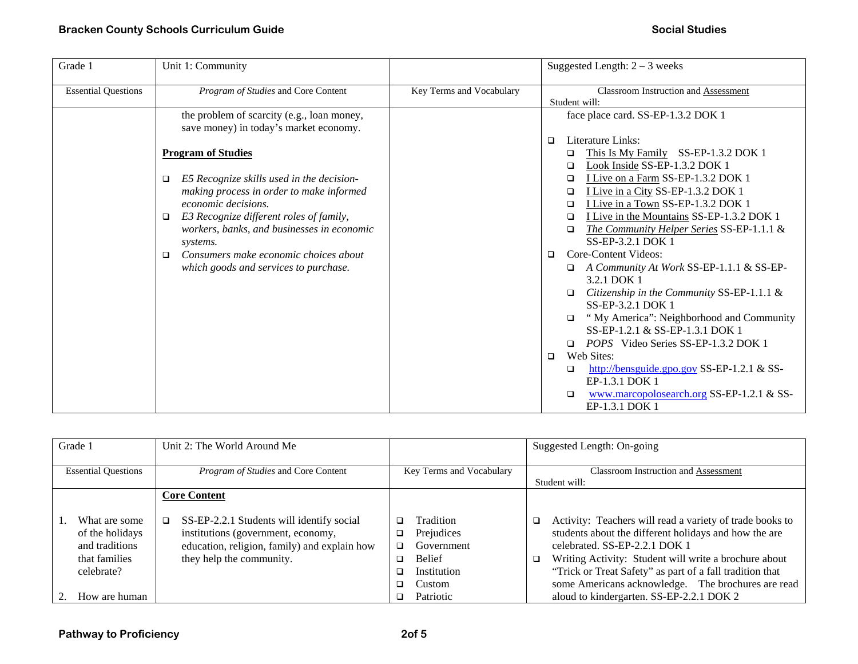| Grade 1                    | Unit 1: Community                                      |                          | Suggested Length: $2 - 3$ weeks                                                                            |
|----------------------------|--------------------------------------------------------|--------------------------|------------------------------------------------------------------------------------------------------------|
| <b>Essential Questions</b> | <i>Program of Studies</i> and Core Content             | Key Terms and Vocabulary | <b>Classroom Instruction and Assessment</b><br>Student will:                                               |
|                            | the problem of scarcity (e.g., loan money,             |                          | face place card. SS-EP-1.3.2 DOK 1                                                                         |
|                            | save money) in today's market economy.                 |                          |                                                                                                            |
|                            |                                                        |                          | Literature Links:<br>$\Box$                                                                                |
|                            | <b>Program of Studies</b>                              |                          | This Is My Family SS-EP-1.3.2 DOK 1<br>$\Box$                                                              |
|                            |                                                        |                          | Look Inside SS-EP-1.3.2 DOK 1<br>$\Box$                                                                    |
|                            | E5 Recognize skills used in the decision-<br>❏         |                          | I Live on a Farm SS-EP-1.3.2 DOK 1<br>$\Box$                                                               |
|                            | making process in order to make informed               |                          | I Live in a City SS-EP-1.3.2 DOK 1<br>$\Box$                                                               |
|                            | economic decisions.                                    |                          | I Live in a Town SS-EP-1.3.2 DOK 1<br>$\Box$                                                               |
|                            | E3 Recognize different roles of family,<br>□           |                          | I Live in the Mountains SS-EP-1.3.2 DOK 1<br>$\Box$<br>The Community Helper Series SS-EP-1.1.1 &<br>$\Box$ |
|                            | workers, banks, and businesses in economic<br>systems. |                          | SS-EP-3.2.1 DOK 1                                                                                          |
|                            | Consumers make economic choices about<br>□             |                          | Core-Content Videos:<br>$\Box$                                                                             |
|                            | which goods and services to purchase.                  |                          | A Community At Work SS-EP-1.1.1 & SS-EP-<br>□                                                              |
|                            |                                                        |                          | 3.2.1 DOK 1                                                                                                |
|                            |                                                        |                          | Citizenship in the Community SS-EP-1.1.1 &                                                                 |
|                            |                                                        |                          | SS-EP-3.2.1 DOK 1                                                                                          |
|                            |                                                        |                          | "My America": Neighborhood and Community<br>$\Box$                                                         |
|                            |                                                        |                          | SS-EP-1.2.1 & SS-EP-1.3.1 DOK 1                                                                            |
|                            |                                                        |                          | <i>POPS</i> Video Series SS-EP-1.3.2 DOK 1<br>$\Box$                                                       |
|                            |                                                        |                          | Web Sites:<br>$\Box$                                                                                       |
|                            |                                                        |                          | http://bensguide.gpo.gov SS-EP-1.2.1 & SS-<br>□<br>EP-1.3.1 DOK 1                                          |
|                            |                                                        |                          | www.marcopolosearch.org SS-EP-1.2.1 & SS-<br>□<br>EP-1.3.1 DOK 1                                           |

| Grade 1                                                                           | Unit 2: The World Around Me                                                                                                                                 |                                                                                                      | Suggested Length: On-going                                                                                                                                                                                                                                                                                                               |
|-----------------------------------------------------------------------------------|-------------------------------------------------------------------------------------------------------------------------------------------------------------|------------------------------------------------------------------------------------------------------|------------------------------------------------------------------------------------------------------------------------------------------------------------------------------------------------------------------------------------------------------------------------------------------------------------------------------------------|
| <b>Essential Questions</b>                                                        | <i>Program of Studies</i> and Core Content                                                                                                                  | Key Terms and Vocabulary                                                                             | Classroom Instruction and Assessment                                                                                                                                                                                                                                                                                                     |
|                                                                                   |                                                                                                                                                             |                                                                                                      | Student will:                                                                                                                                                                                                                                                                                                                            |
|                                                                                   | <b>Core Content</b>                                                                                                                                         |                                                                                                      |                                                                                                                                                                                                                                                                                                                                          |
| What are some<br>of the holidays<br>and traditions<br>that families<br>celebrate? | SS-EP-2.2.1 Students will identify social<br>institutions (government, economy,<br>education, religion, family) and explain how<br>they help the community. | Tradition<br>□<br>Prejudices<br>o.<br>Government<br>◻<br><b>Belief</b><br>◻<br>Institution<br>Custom | Activity: Teachers will read a variety of trade books to<br>o.<br>students about the different holidays and how the are<br>celebrated, SS-EP-2.2.1 DOK 1<br>Writing Activity: Student will write a brochure about<br>▫<br>"Trick or Treat Safety" as part of a fall tradition that<br>some Americans acknowledge. The brochures are read |
| How are human                                                                     |                                                                                                                                                             | Patriotic                                                                                            | aloud to kindergarten. SS-EP-2.2.1 DOK 2                                                                                                                                                                                                                                                                                                 |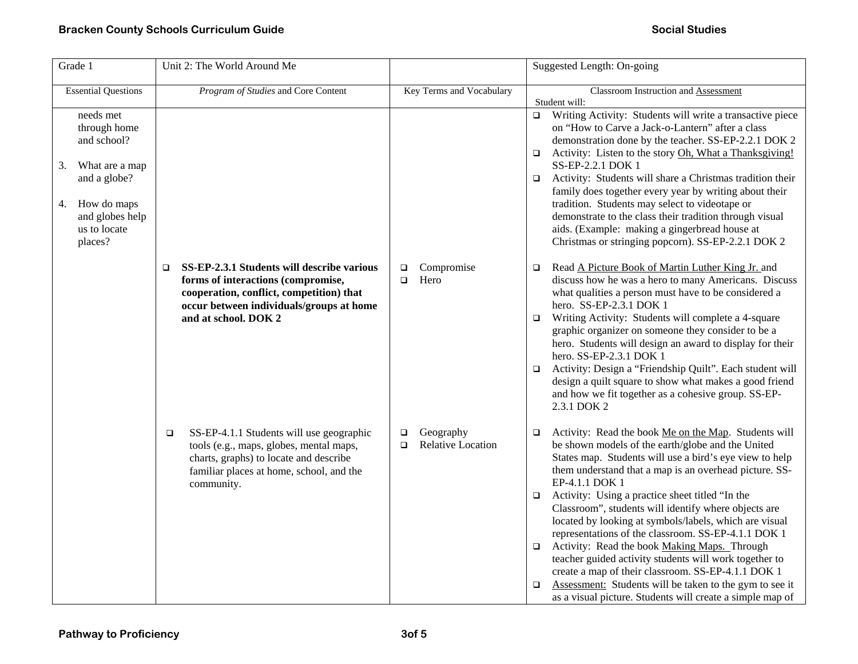| Grade 1                                                                                                                                  | Unit 2: The World Around Me                                                                                                                                                                           |                                                           | Suggested Length: On-going                                                                                                                                                                                                                                                                                                                                                                                                                                                                                                                                                                                                                                                                                                                                                                                   |
|------------------------------------------------------------------------------------------------------------------------------------------|-------------------------------------------------------------------------------------------------------------------------------------------------------------------------------------------------------|-----------------------------------------------------------|--------------------------------------------------------------------------------------------------------------------------------------------------------------------------------------------------------------------------------------------------------------------------------------------------------------------------------------------------------------------------------------------------------------------------------------------------------------------------------------------------------------------------------------------------------------------------------------------------------------------------------------------------------------------------------------------------------------------------------------------------------------------------------------------------------------|
| <b>Essential Questions</b>                                                                                                               | Program of Studies and Core Content                                                                                                                                                                   | Key Terms and Vocabulary                                  | Classroom Instruction and Assessment<br>Student will:                                                                                                                                                                                                                                                                                                                                                                                                                                                                                                                                                                                                                                                                                                                                                        |
| needs met<br>through home<br>and school?<br>What are a map<br>3.<br>and a globe?<br>How do maps<br>4.<br>and globes help<br>us to locate |                                                                                                                                                                                                       |                                                           | $\Box$ Writing Activity: Students will write a transactive piece<br>on "How to Carve a Jack-o-Lantern" after a class<br>demonstration done by the teacher. SS-EP-2.2.1 DOK 2<br>Activity: Listen to the story Oh, What a Thanksgiving!<br>$\Box$<br>SS-EP-2.2.1 DOK 1<br>Activity: Students will share a Christmas tradition their<br>$\Box$<br>family does together every year by writing about their<br>tradition. Students may select to videotape or<br>demonstrate to the class their tradition through visual<br>aids. (Example: making a gingerbread house at                                                                                                                                                                                                                                         |
| places?                                                                                                                                  | SS-EP-2.3.1 Students will describe various<br>□<br>forms of interactions (compromise,<br>cooperation, conflict, competition) that<br>occur between individuals/groups at home<br>and at school. DOK 2 | Compromise<br>$\Box$<br>Hero<br>$\Box$                    | Christmas or stringing popcorn). SS-EP-2.2.1 DOK 2<br>Read A Picture Book of Martin Luther King Jr. and<br>$\Box$<br>discuss how he was a hero to many Americans. Discuss<br>what qualities a person must have to be considered a<br>hero. SS-EP-2.3.1 DOK 1<br>Writing Activity: Students will complete a 4-square<br>$\Box$<br>graphic organizer on someone they consider to be a<br>hero. Students will design an award to display for their<br>hero. SS-EP-2.3.1 DOK 1<br>Activity: Design a "Friendship Quilt". Each student will<br>$\Box$<br>design a quilt square to show what makes a good friend<br>and how we fit together as a cohesive group. SS-EP-<br>2.3.1 DOK 2                                                                                                                             |
|                                                                                                                                          | SS-EP-4.1.1 Students will use geographic<br>$\Box$<br>tools (e.g., maps, globes, mental maps,<br>charts, graphs) to locate and describe<br>familiar places at home, school, and the<br>community.     | Geography<br>$\Box$<br><b>Relative Location</b><br>$\Box$ | Activity: Read the book Me on the Map. Students will<br>$\Box$<br>be shown models of the earth/globe and the United<br>States map. Students will use a bird's eye view to help<br>them understand that a map is an overhead picture. SS-<br>EP-4.1.1 DOK 1<br>Activity: Using a practice sheet titled "In the<br>$\Box$<br>Classroom", students will identify where objects are<br>located by looking at symbols/labels, which are visual<br>representations of the classroom. SS-EP-4.1.1 DOK 1<br>Activity: Read the book Making Maps. Through<br>$\Box$<br>teacher guided activity students will work together to<br>create a map of their classroom. SS-EP-4.1.1 DOK 1<br>Assessment: Students will be taken to the gym to see it<br>$\Box$<br>as a visual picture. Students will create a simple map of |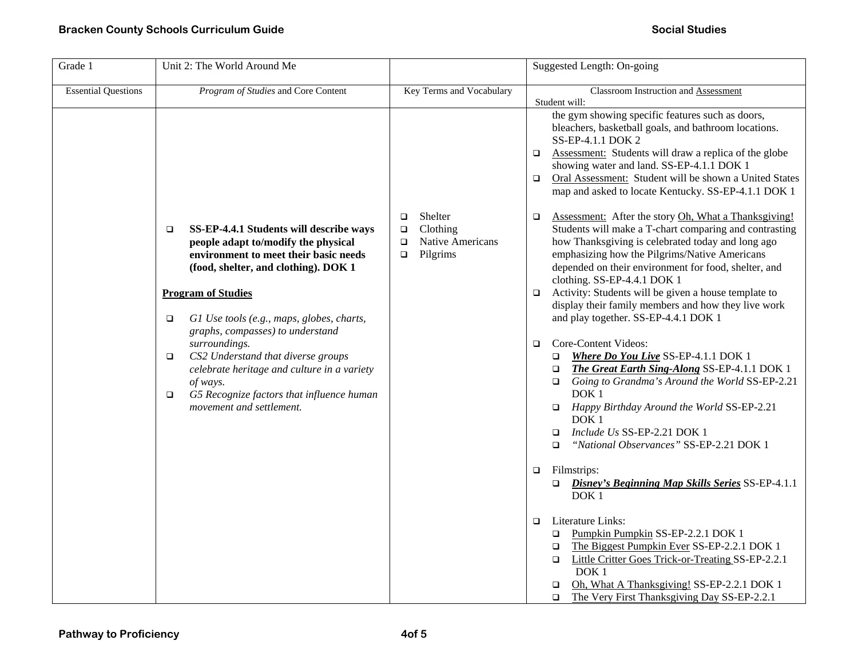| Grade 1                    | Unit 2: The World Around Me                                                                                                                                                                                                 |                                                                                             | Suggested Length: On-going                                                                                                                                                                                                                                                                                                                                                                            |
|----------------------------|-----------------------------------------------------------------------------------------------------------------------------------------------------------------------------------------------------------------------------|---------------------------------------------------------------------------------------------|-------------------------------------------------------------------------------------------------------------------------------------------------------------------------------------------------------------------------------------------------------------------------------------------------------------------------------------------------------------------------------------------------------|
| <b>Essential Questions</b> | Program of Studies and Core Content                                                                                                                                                                                         | Key Terms and Vocabulary                                                                    | Classroom Instruction and Assessment<br>Student will:                                                                                                                                                                                                                                                                                                                                                 |
|                            |                                                                                                                                                                                                                             |                                                                                             | the gym showing specific features such as doors,<br>bleachers, basketball goals, and bathroom locations.<br>SS-EP-4.1.1 DOK 2<br>Assessment: Students will draw a replica of the globe<br>$\Box$<br>showing water and land. SS-EP-4.1.1 DOK 1<br>Oral Assessment: Student will be shown a United States<br>$\Box$<br>map and asked to locate Kentucky. SS-EP-4.1.1 DOK 1                              |
|                            | SS-EP-4.4.1 Students will describe ways<br>$\Box$<br>people adapt to/modify the physical<br>environment to meet their basic needs<br>(food, shelter, and clothing). DOK 1                                                   | Shelter<br>$\Box$<br>Clothing<br>$\Box$<br>Native Americans<br>$\Box$<br>Pilgrims<br>$\Box$ | Assessment: After the story Oh, What a Thanksgiving!<br>$\Box$<br>Students will make a T-chart comparing and contrasting<br>how Thanksgiving is celebrated today and long ago<br>emphasizing how the Pilgrims/Native Americans<br>depended on their environment for food, shelter, and<br>clothing. SS-EP-4.4.1 DOK 1                                                                                 |
|                            | <b>Program of Studies</b><br>G1 Use tools (e.g., maps, globes, charts,<br>$\Box$                                                                                                                                            |                                                                                             | Activity: Students will be given a house template to<br>$\Box$<br>display their family members and how they live work<br>and play together. SS-EP-4.4.1 DOK 1                                                                                                                                                                                                                                         |
| $\Box$<br>$\Box$           | graphs, compasses) to understand<br>surroundings.<br>CS2 Understand that diverse groups<br>celebrate heritage and culture in a variety<br>of ways.<br>G5 Recognize factors that influence human<br>movement and settlement. |                                                                                             | Core-Content Videos:<br>$\Box$<br><b>Where Do You Live SS-EP-4.1.1 DOK 1</b><br>$\Box$<br>The Great Earth Sing-Along SS-EP-4.1.1 DOK 1<br>$\Box$<br>Going to Grandma's Around the World SS-EP-2.21<br>$\Box$<br>DOK <sub>1</sub><br>$\Box$<br>Happy Birthday Around the World SS-EP-2.21<br>DOK <sub>1</sub><br>Include Us SS-EP-2.21 DOK 1<br>$\Box$<br>"National Observances" SS-EP-2.21 DOK 1<br>□ |
|                            |                                                                                                                                                                                                                             |                                                                                             | Filmstrips:<br>$\Box$<br>Disney's Beginning Map Skills Series SS-EP-4.1.1<br>$\Box$<br>DOK <sub>1</sub>                                                                                                                                                                                                                                                                                               |
|                            |                                                                                                                                                                                                                             |                                                                                             | Literature Links:<br>$\Box$<br>Pumpkin Pumpkin SS-EP-2.2.1 DOK 1<br>$\Box$<br>The Biggest Pumpkin Ever SS-EP-2.2.1 DOK 1<br>$\Box$<br>Little Critter Goes Trick-or-Treating SS-EP-2.2.1<br>$\Box$<br>DOK <sub>1</sub><br>Oh, What A Thanksgiving! SS-EP-2.2.1 DOK 1<br>$\Box$<br>The Very First Thanksgiving Day SS-EP-2.2.1<br>$\Box$                                                                |